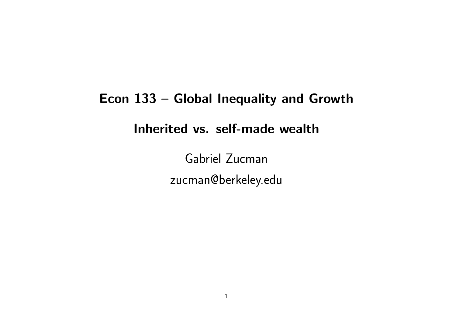# Econ 133 – Global Inequality and Growth Inherited vs. self-made wealth

Gabriel Zucman zucman@berkeley.edu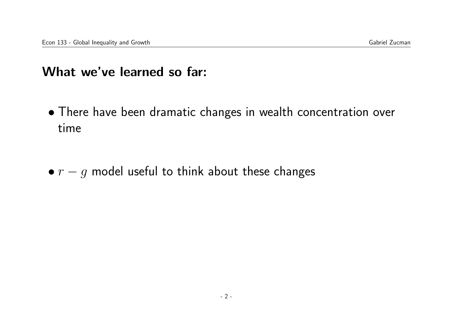### What we've learned so far:

- There have been dramatic changes in wealth concentration over time
- $r g$  model useful to think about these changes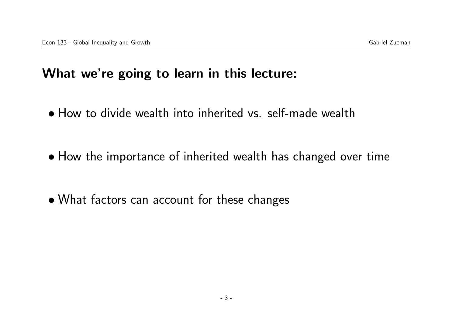### What we're going to learn in this lecture:

- How to divide wealth into inherited vs. self-made wealth
- How the importance of inherited wealth has changed over time
- What factors can account for these changes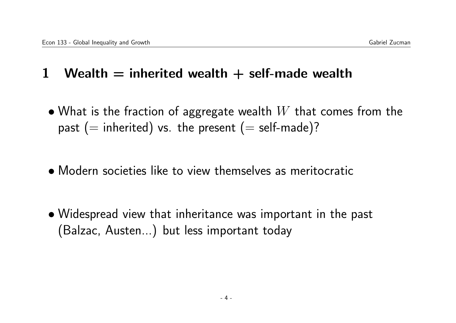## 1 Wealth  $=$  inherited wealth  $+$  self-made wealth

- What is the fraction of aggregate wealth  $W$  that comes from the past (= inherited) vs. the present (= self-made)?
- Modern societies like to view themselves as meritocratic
- Widespread view that inheritance was important in the past (Balzac, Austen...) but less important today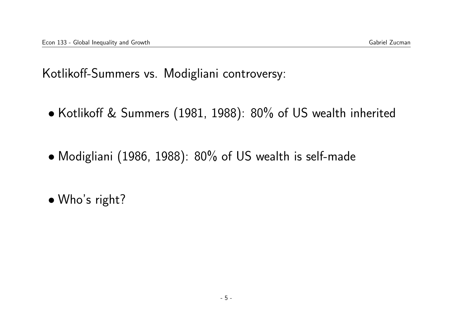Kotlikoff-Summers vs. Modigliani controversy:

- Kotlikoff & Summers (1981, 1988): 80% of US wealth inherited
- Modigliani (1986, 1988): 80% of US wealth is self-made
- Who's right?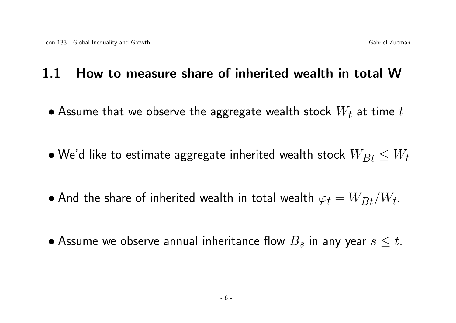### 1.1 How to measure share of inherited wealth in total W

- Assume that we observe the aggregate wealth stock  $W_t$  at time  $t$
- $\bullet$  We'd like to estimate aggregate inherited wealth stock  $W_{Bt} \leq W_t$
- $\bullet$  And the share of inherited wealth in total wealth  $\varphi_t = W_{Bt}/W_t.$
- Assume we observe annual inheritance flow  $B_s$  in any year  $s \leq t$ .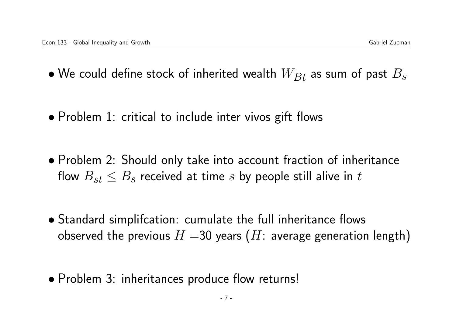- We could define stock of inherited wealth  $W_{Bt}$  as sum of past  $B_s$
- Problem 1: critical to include inter vivos gift flows
- Problem 2: Should only take into account fraction of inheritance flow  $B_{st} \leq B_s$  received at time s by people still alive in t
- Standard simplifcation: cumulate the full inheritance flows observed the previous  $H = 30$  years (H: average generation length)
- Problem 3: inheritances produce flow returns!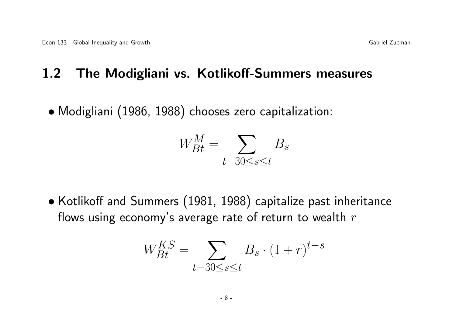### 1.2 The Modigliani vs. Kotlikoff-Summers measures

• Modigliani (1986, 1988) chooses zero capitalization:

$$
W_{Bt}^M = \sum_{t-30 \le s \le t} B_s
$$

• Kotlikoff and Summers (1981, 1988) capitalize past inheritance flows using economy's average rate of return to wealth  $r$ 

$$
W_{Bt}^{KS} = \sum_{t-30 \le s \le t} B_s \cdot (1+r)^{t-s}
$$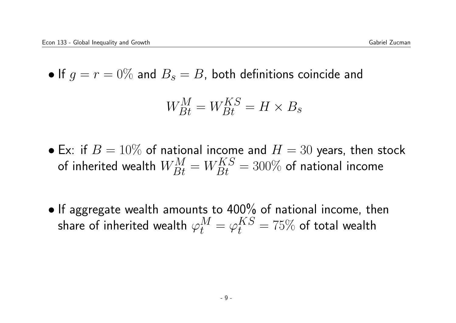• If  $g = r = 0\%$  and  $B_s = B$ , both definitions coincide and

$$
W_{Bt}^M = W_{Bt}^{KS} = H \times B_s
$$

- Ex: if  $B = 10\%$  of national income and  $H = 30$  years, then stock of inherited wealth  $W_{Bt}^M=W_{Bt}^{KS}=300\%$  of national income
- If aggregate wealth amounts to 400% of national income, then share of inherited wealth  $\varphi_t^M = \varphi_t^{KS} = 75\%$  of total wealth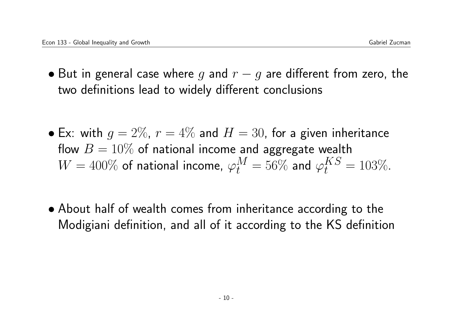- But in general case where q and  $r q$  are different from zero, the two definitions lead to widely different conclusions
- Ex: with  $g = 2\%$ ,  $r = 4\%$  and  $H = 30$ , for a given inheritance flow  $B = 10\%$  of national income and aggregate wealth  $W=400\%$  of national income,  $\varphi_t^M=56\%$  and  $\varphi_t^{KS}=103\%.$
- About half of wealth comes from inheritance according to the Modigiani definition, and all of it according to the KS definition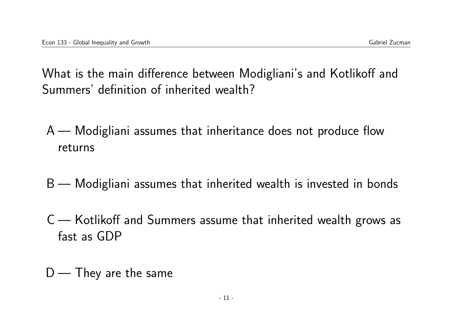What is the main difference between Modigliani's and Kotlikoff and Summers' definition of inherited wealth?

- A Modigliani assumes that inheritance does not produce flow returns
- B Modigliani assumes that inherited wealth is invested in bonds
- C Kotlikoff and Summers assume that inherited wealth grows as fast as GDP

 $D$  — They are the same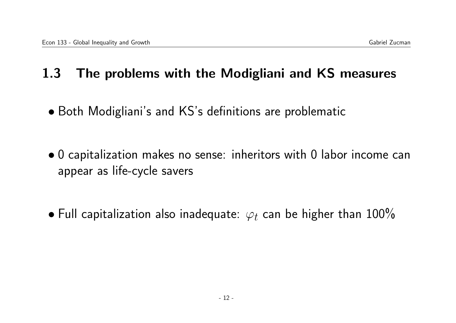### 1.3 The problems with the Modigliani and KS measures

- Both Modigliani's and KS's definitions are problematic
- 0 capitalization makes no sense: inheritors with 0 labor income can appear as life-cycle savers
- Full capitalization also inadequate:  $\varphi_t$  can be higher than 100%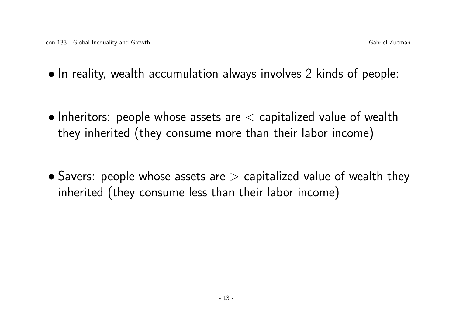- In reality, wealth accumulation always involves 2 kinds of people:
- Inheritors: people whose assets are  $\lt$  capitalized value of wealth they inherited (they consume more than their labor income)
- Savers: people whose assets are  $>$  capitalized value of wealth they inherited (they consume less than their labor income)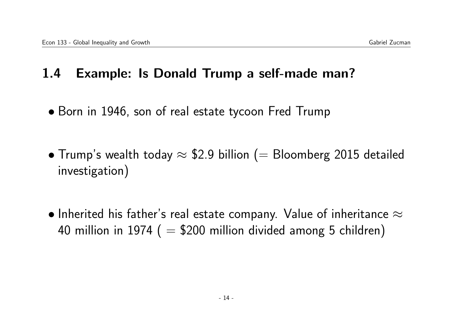### 1.4 Example: Is Donald Trump a self-made man?

- Born in 1946, son of real estate tycoon Fred Trump
- Trump's wealth today  $\approx$  \$2.9 billion (= Bloomberg 2015 detailed investigation)
- $\bullet$  Inherited his father's real estate company. Value of inheritance  $\approx$ 40 million in 1974 ( $= $200$  million divided among 5 children)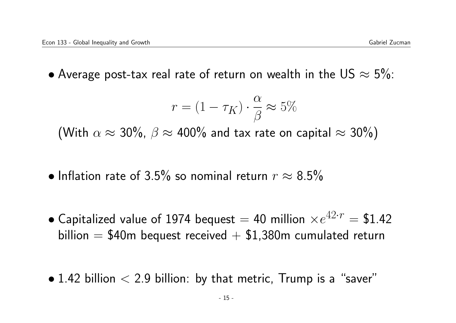• Average post-tax real rate of return on wealth in the US  $\approx$  5%:

$$
r = (1 - \tau_K) \cdot \frac{\alpha}{\beta} \approx 5\%
$$

(With  $\alpha \approx 30\%$ ,  $\beta \approx 400\%$  and tax rate on capital  $\approx 30\%$ )

- Inflation rate of 3.5% so nominal return  $r \approx 8.5\%$
- $\bullet$  Capitalized value of 1974 bequest  $=$  40 million  $\times e^{42\cdot r} =$  \$1.42 billion  $= $40$ m bequest received  $+ $1,380$ m cumulated return
- $\bullet$  1.42 billion  $<$  2.9 billion: by that metric, Trump is a "saver"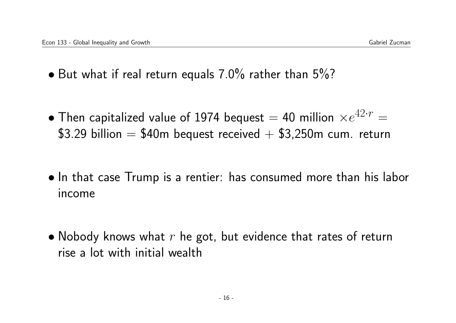- But what if real return equals  $7.0\%$  rather than  $5\%$ ?
- $\bullet$  Then capitalized value of 1974 bequest  $=$  40 million  $\times e^{42\cdot r}=$  $$3.29$  billion = \$40m bequest received  $+$  \$3,250m cum. return
- In that case Trump is a rentier: has consumed more than his labor income
- Nobody knows what  $r$  he got, but evidence that rates of return rise a lot with initial wealth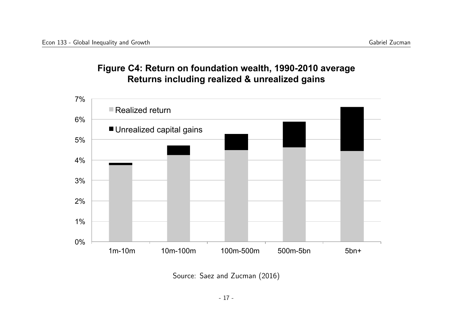#### **Figure C4: Return on foundation wealth, 1990-2010 average Returns including realized & unrealized gains**



Source: Saez and Zucman (2016)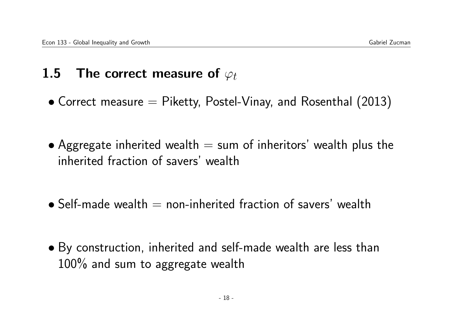# 1.5 The correct measure of  $\varphi_t$

- Correct measure  $=$  Piketty, Postel-Vinay, and Rosenthal (2013)
- Aggregate inherited wealth  $=$  sum of inheritors' wealth plus the inherited fraction of savers' wealth
- $\bullet$  Self-made wealth  $=$  non-inherited fraction of savers' wealth
- By construction, inherited and self-made wealth are less than 100% and sum to aggregate wealth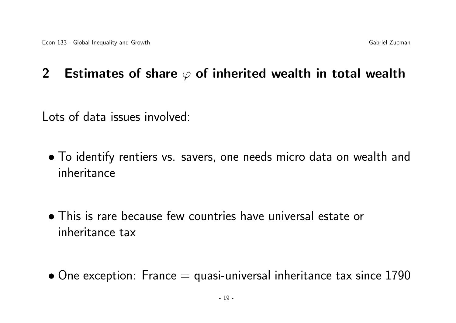### 2 Estimates of share  $\varphi$  of inherited wealth in total wealth

Lots of data issues involved:

- To identify rentiers vs. savers, one needs micro data on wealth and inheritance
- This is rare because few countries have universal estate or inheritance tax
- $\bullet$  One exception: France  $=$  quasi-universal inheritance tax since 1790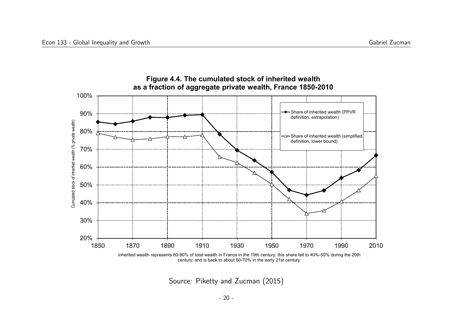

Source: Piketty and Zucman (2015)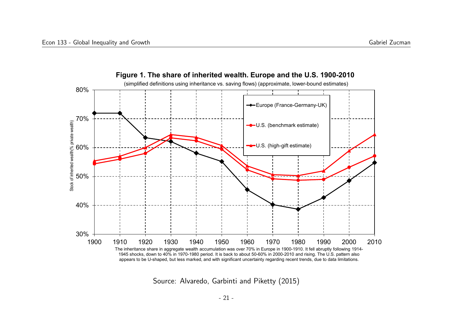



Source: Alvaredo, Garbinti and Piketty (2015)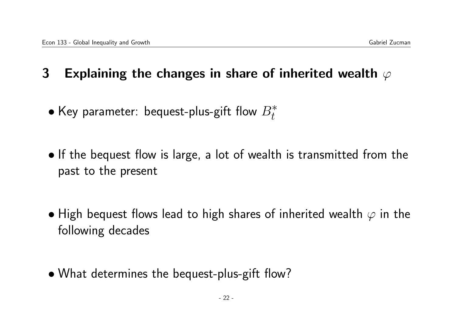## 3 Explaining the changes in share of inherited wealth  $\varphi$

- $\bullet$  Key parameter: bequest-plus-gift flow  $B_t^*$
- If the bequest flow is large, a lot of wealth is transmitted from the past to the present
- High bequest flows lead to high shares of inherited wealth  $\varphi$  in the following decades
- What determines the bequest-plus-gift flow?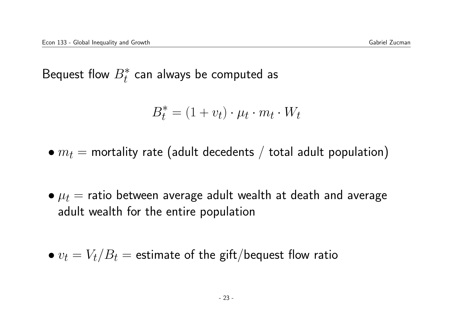Bequest flow  $B_t^*$  can always be computed as

$$
B_t^* = (1 + v_t) \cdot \mu_t \cdot m_t \cdot W_t
$$

- $m_t$  = mortality rate (adult decedents / total adult population)
- $\bullet \mu_t$  = ratio between average adult wealth at death and average adult wealth for the entire population

$$
\bullet v_t = V_t/B_t = \text{estimate of the gift/bequest flow ratio}
$$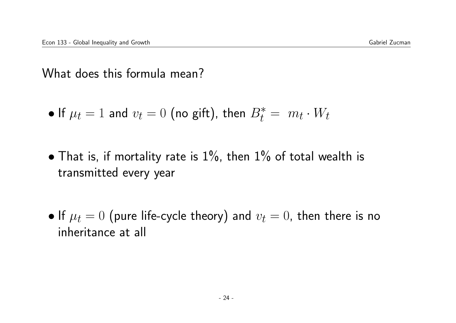What does this formula mean?

- If  $\mu_t = 1$  and  $v_t = 0$  (no gift), then  $B_t^* = m_t \cdot W_t$
- That is, if mortality rate is  $1\%$ , then  $1\%$  of total wealth is transmitted every year
- If  $\mu_t = 0$  (pure life-cycle theory) and  $v_t = 0$ , then there is no inheritance at all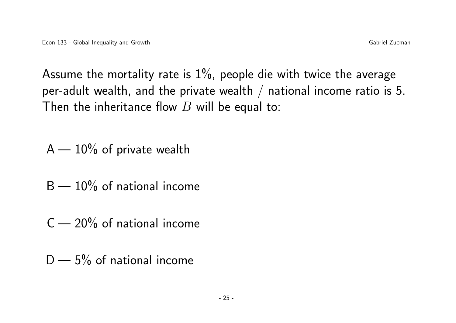Assume the mortality rate is  $1\%$ , people die with twice the average per-adult wealth, and the private wealth  $/$  national income ratio is 5. Then the inheritance flow  $B$  will be equal to:

- $A 10\%$  of private wealth
- $B 10\%$  of national income
- $C 20\%$  of national income
- $D 5%$  of national income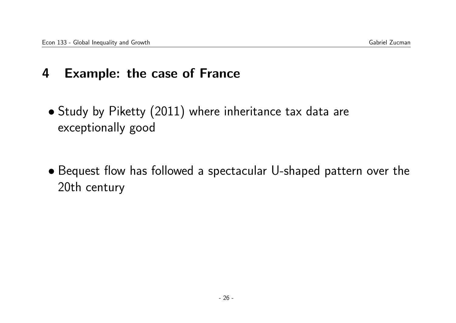### 4 Example: the case of France

- Study by Piketty (2011) where inheritance tax data are exceptionally good
- Bequest flow has followed a spectacular U-shaped pattern over the 20th century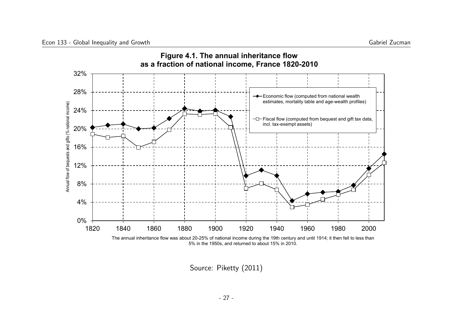

Source: Piketty (2011)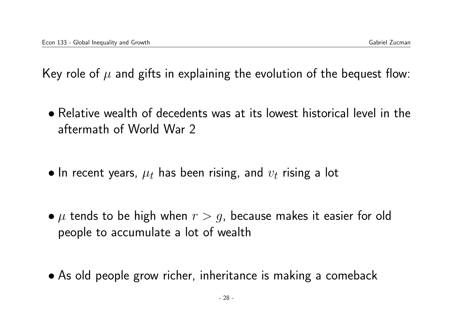Key role of  $\mu$  and gifts in explaining the evolution of the bequest flow:

- Relative wealth of decedents was at its lowest historical level in the aftermath of World War 2
- $\bullet$  In recent years,  $\mu_t$  has been rising, and  $v_t$  rising a lot
- $\mu$  tends to be high when  $r > g$ , because makes it easier for old people to accumulate a lot of wealth
- As old people grow richer, inheritance is making a comeback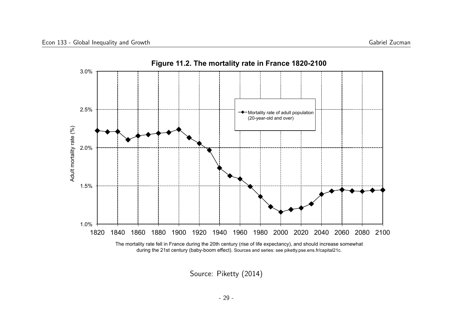

Source: Piketty (2014)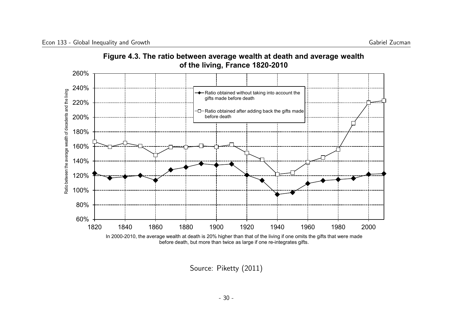

**Figure 4.3. The ratio between average wealth at death and average wealth** 

Source: Piketty (2011)

before death, but more than twice as large if one re-integrates gifts.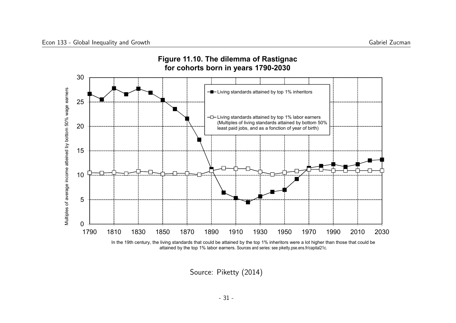

Source: Piketty (2014)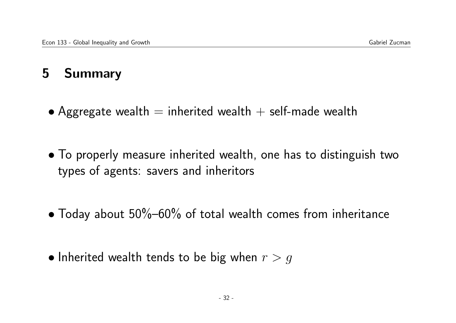# 5 Summary

- Aggregate wealth  $=$  inherited wealth  $+$  self-made wealth
- To properly measure inherited wealth, one has to distinguish two types of agents: savers and inheritors
- Today about  $50\%$ –60% of total wealth comes from inheritance
- Inherited wealth tends to be big when  $r > g$